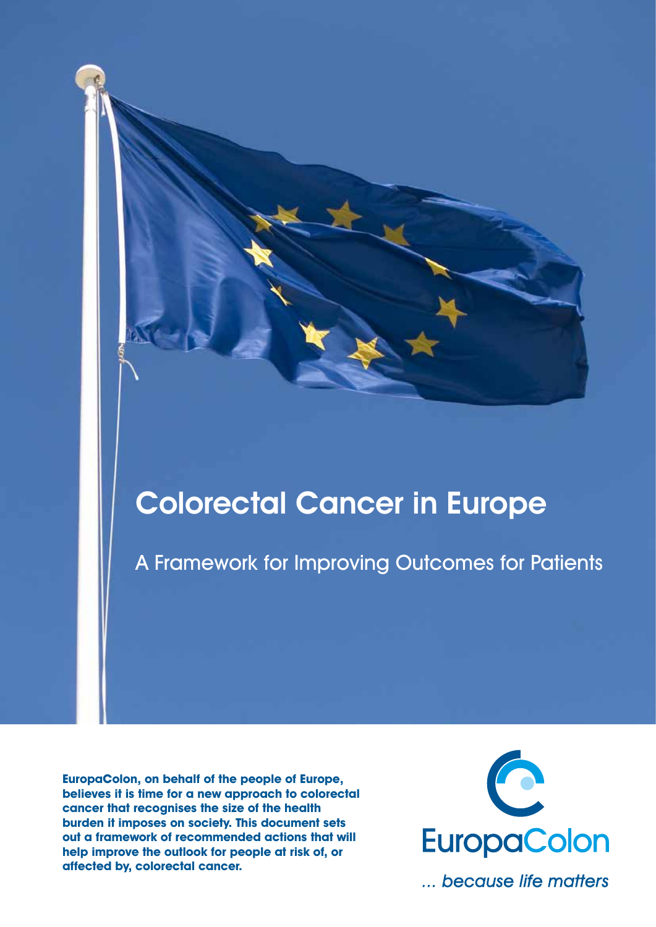# Colorectal Cancer in Europe

A Framework for Improving Outcomes for Patients

**EuropaColon, on behalf of the people of Europe, believes it is time for a new approach to colorectal cancer that recognises the size of the health burden it imposes on society. This document sets out a framework of recommended actions that will help improve the outlook for people at risk of, or affected by, colorectal cancer.**



... because life matters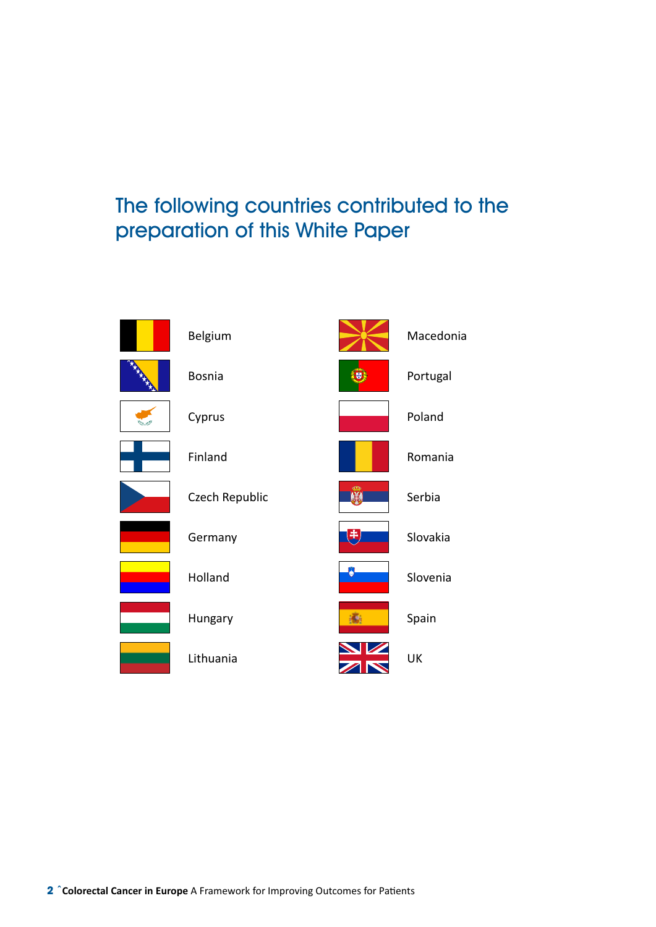# The following countries contributed to the preparation of this White Paper

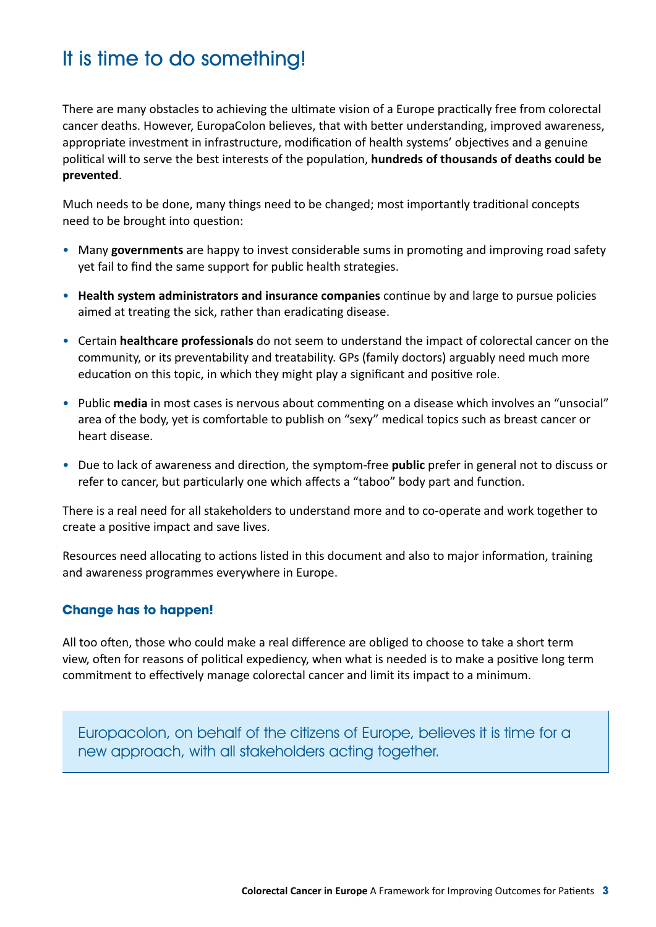# It is time to do something!

There are many obstacles to achieving the ultimate vision of a Europe practically free from colorectal cancer deaths. However, EuropaColon believes, that with better understanding, improved awareness, appropriate investment in infrastructure, modification of health systems' objectives and a genuine political will to serve the best interests of the population, **hundreds of thousands of deaths could be prevented**.

Much needs to be done, many things need to be changed; most importantly traditional concepts need to be brought into question:

- Many governments are happy to invest considerable sums in promoting and improving road safety yet fail to find the same support for public health strategies.
- • **Health system administrators and insurance companies** continue by and large to pursue policies aimed at treating the sick, rather than eradicating disease.
- • Certain **healthcare professionals** do not seem to understand the impact of colorectal cancer on the community, or its preventability and treatability. GPs (family doctors) arguably need much more education on this topic, in which they might play a significant and positive role.
- • Public **media** in most cases is nervous about commenting on a disease which involves an "unsocial" area of the body, yet is comfortable to publish on "sexy" medical topics such as breast cancer or heart disease.
- • Due to lack of awareness and direction, the symptom-free **public** prefer in general not to discuss or refer to cancer, but particularly one which affects a "taboo" body part and function.

There is a real need for all stakeholders to understand more and to co-operate and work together to create a positive impact and save lives.

Resources need allocating to actions listed in this document and also to major information, training and awareness programmes everywhere in Europe.

#### **Change has to happen!**

All too often, those who could make a real difference are obliged to choose to take a short term view, often for reasons of political expediency, when what is needed is to make a positive long term commitment to effectively manage colorectal cancer and limit its impact to a minimum.

Europacolon, on behalf of the citizens of Europe, believes it is time for a new approach, with all stakeholders acting together.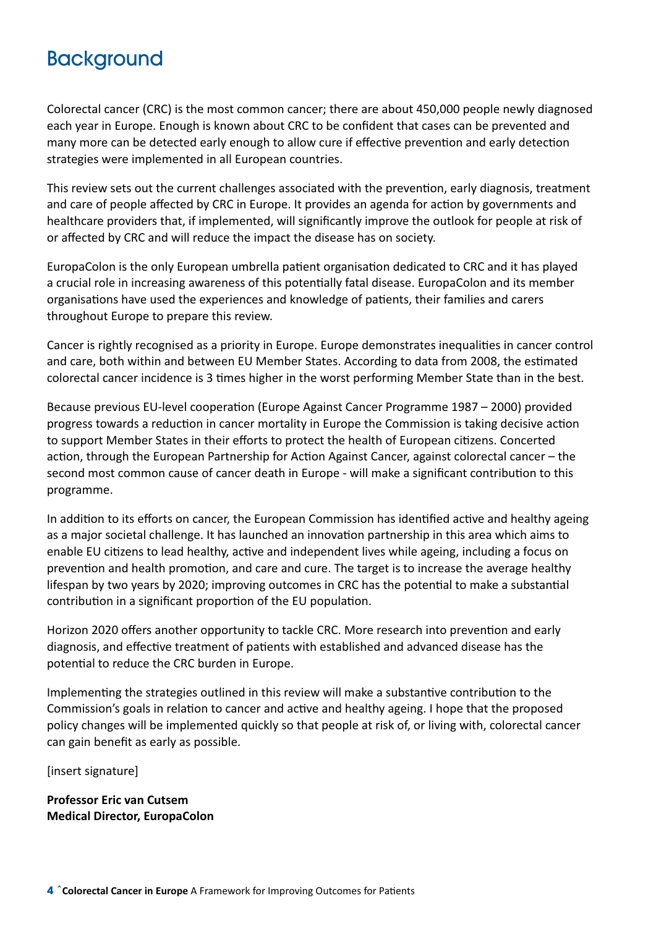# **Background**

Colorectal cancer (CRC) is the most common cancer; there are about 450,000 people newly diagnosed each year in Europe. Enough is known about CRC to be confident that cases can be prevented and many more can be detected early enough to allow cure if effective prevention and early detection strategies were implemented in all European countries.

This review sets out the current challenges associated with the prevention, early diagnosis, treatment and care of people affected by CRC in Europe. It provides an agenda for action by governments and healthcare providers that, if implemented, will significantly improve the outlook for people at risk of or affected by CRC and will reduce the impact the disease has on society.

EuropaColon is the only European umbrella patient organisation dedicated to CRC and it has played a crucial role in increasing awareness of this potentially fatal disease. EuropaColon and its member organisations have used the experiences and knowledge of patients, their families and carers throughout Europe to prepare this review.

Cancer is rightly recognised as a priority in Europe. Europe demonstrates inequalities in cancer control and care, both within and between EU Member States. According to data from 2008, the estimated colorectal cancer incidence is 3 times higher in the worst performing Member State than in the best.

Because previous EU-level cooperation (Europe Against Cancer Programme 1987 – 2000) provided progress towards a reduction in cancer mortality in Europe the Commission is taking decisive action to support Member States in their efforts to protect the health of European citizens. Concerted action, through the European Partnership for Action Against Cancer, against colorectal cancer – the second most common cause of cancer death in Europe - will make a significant contribution to this programme.

In addition to its efforts on cancer, the European Commission has identified active and healthy ageing as a major societal challenge. It has launched an innovation partnership in this area which aims to enable EU citizens to lead healthy, active and independent lives while ageing, including a focus on prevention and health promotion, and care and cure. The target is to increase the average healthy lifespan by two years by 2020; improving outcomes in CRC has the potential to make a substantial contribution in a significant proportion of the EU population.

Horizon 2020 offers another opportunity to tackle CRC. More research into prevention and early diagnosis, and effective treatment of patients with established and advanced disease has the potential to reduce the CRC burden in Europe.

Implementing the strategies outlined in this review will make a substantive contribution to the Commission's goals in relation to cancer and active and healthy ageing. I hope that the proposed policy changes will be implemented quickly so that people at risk of, or living with, colorectal cancer can gain benefit as early as possible.

[insert signature]

**Professor Eric van Cutsem Medical Director, EuropaColon**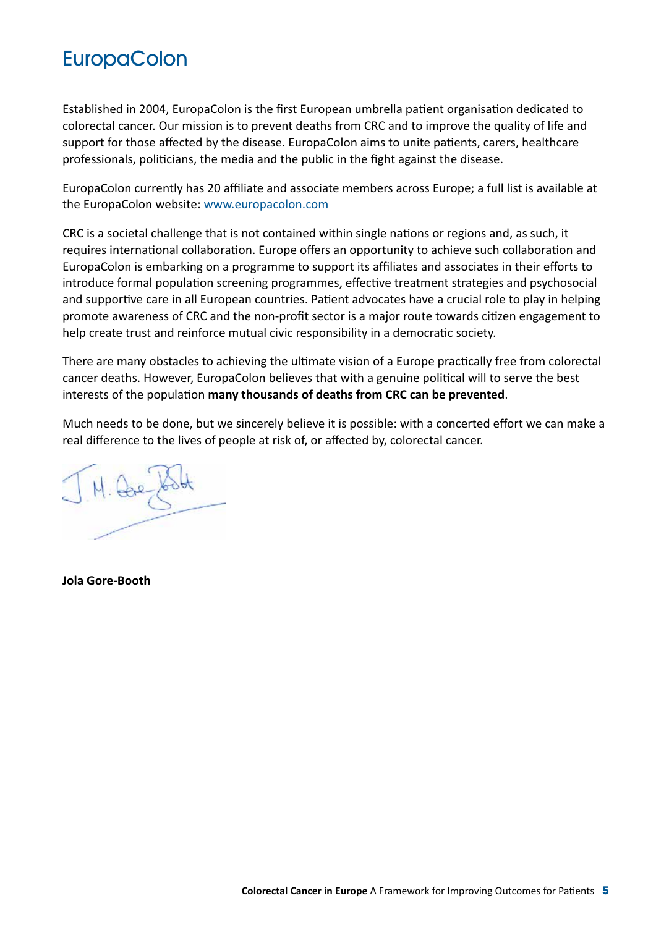# **EuropaColon**

Established in 2004, EuropaColon is the first European umbrella patient organisation dedicated to colorectal cancer. Our mission is to prevent deaths from CRC and to improve the quality of life and support for those affected by the disease. EuropaColon aims to unite patients, carers, healthcare professionals, politicians, the media and the public in the fight against the disease.

EuropaColon currently has 20 affiliate and associate members across Europe; a full list is available at the EuropaColon website: www.europacolon.com

CRC is a societal challenge that is not contained within single nations or regions and, as such, it requires international collaboration. Europe offers an opportunity to achieve such collaboration and EuropaColon is embarking on a programme to support its affiliates and associates in their efforts to introduce formal population screening programmes, effective treatment strategies and psychosocial and supportive care in all European countries. Patient advocates have a crucial role to play in helping promote awareness of CRC and the non-profit sector is a major route towards citizen engagement to help create trust and reinforce mutual civic responsibility in a democratic society.

There are many obstacles to achieving the ultimate vision of a Europe practically free from colorectal cancer deaths. However, EuropaColon believes that with a genuine political will to serve the best interests of the population **many thousands of deaths from CRC can be prevented**.

Much needs to be done, but we sincerely believe it is possible: with a concerted effort we can make a real difference to the lives of people at risk of, or affected by, colorectal cancer.

**Jola Gore-Booth**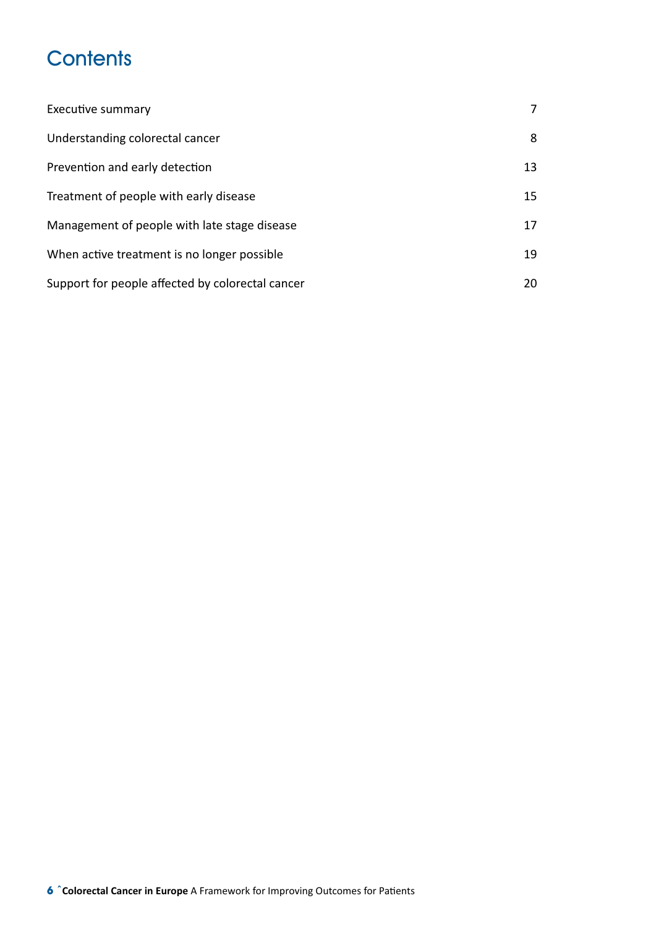# **Contents**

| <b>Executive summary</b>                         | 7  |
|--------------------------------------------------|----|
| Understanding colorectal cancer                  | 8  |
| Prevention and early detection                   | 13 |
| Treatment of people with early disease           | 15 |
| Management of people with late stage disease     | 17 |
| When active treatment is no longer possible      | 19 |
| Support for people affected by colorectal cancer | 20 |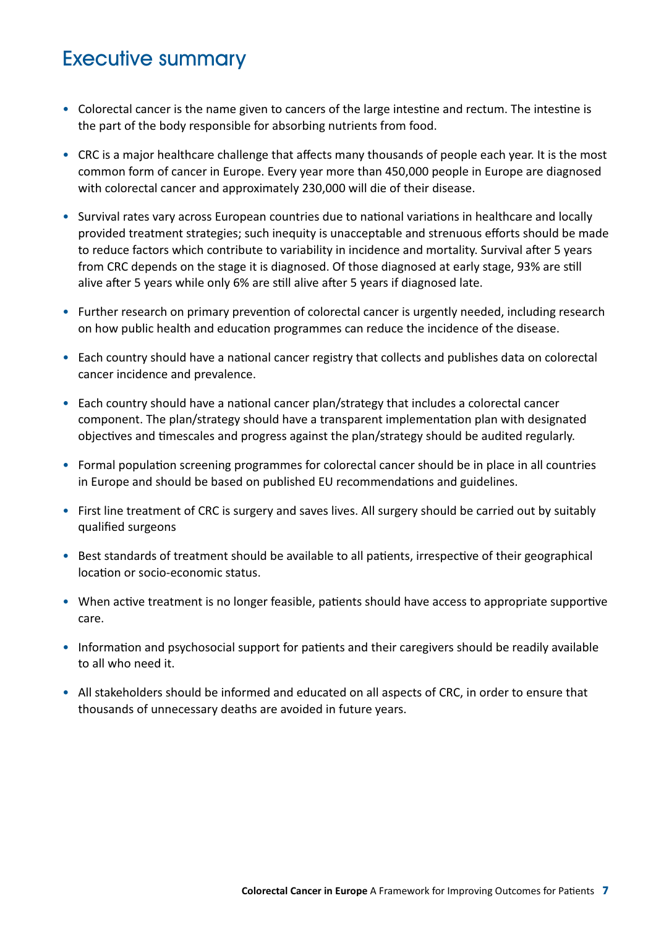### Executive summary

- Colorectal cancer is the name given to cancers of the large intestine and rectum. The intestine is the part of the body responsible for absorbing nutrients from food.
- CRC is a major healthcare challenge that affects many thousands of people each year. It is the most common form of cancer in Europe. Every year more than 450,000 people in Europe are diagnosed with colorectal cancer and approximately 230,000 will die of their disease.
- Survival rates vary across European countries due to national variations in healthcare and locally provided treatment strategies; such inequity is unacceptable and strenuous efforts should be made to reduce factors which contribute to variability in incidence and mortality. Survival after 5 years from CRC depends on the stage it is diagnosed. Of those diagnosed at early stage, 93% are still alive after 5 years while only 6% are still alive after 5 years if diagnosed late.
- Further research on primary prevention of colorectal cancer is urgently needed, including research on how public health and education programmes can reduce the incidence of the disease.
- Each country should have a national cancer registry that collects and publishes data on colorectal cancer incidence and prevalence.
- Each country should have a national cancer plan/strategy that includes a colorectal cancer component. The plan/strategy should have a transparent implementation plan with designated objectives and timescales and progress against the plan/strategy should be audited regularly.
- Formal population screening programmes for colorectal cancer should be in place in all countries in Europe and should be based on published EU recommendations and guidelines.
- First line treatment of CRC is surgery and saves lives. All surgery should be carried out by suitably qualified surgeons
- Best standards of treatment should be available to all patients, irrespective of their geographical location or socio-economic status.
- When active treatment is no longer feasible, patients should have access to appropriate supportive care.
- Information and psychosocial support for patients and their caregivers should be readily available to all who need it.
- • All stakeholders should be informed and educated on all aspects of CRC, in order to ensure that thousands of unnecessary deaths are avoided in future years.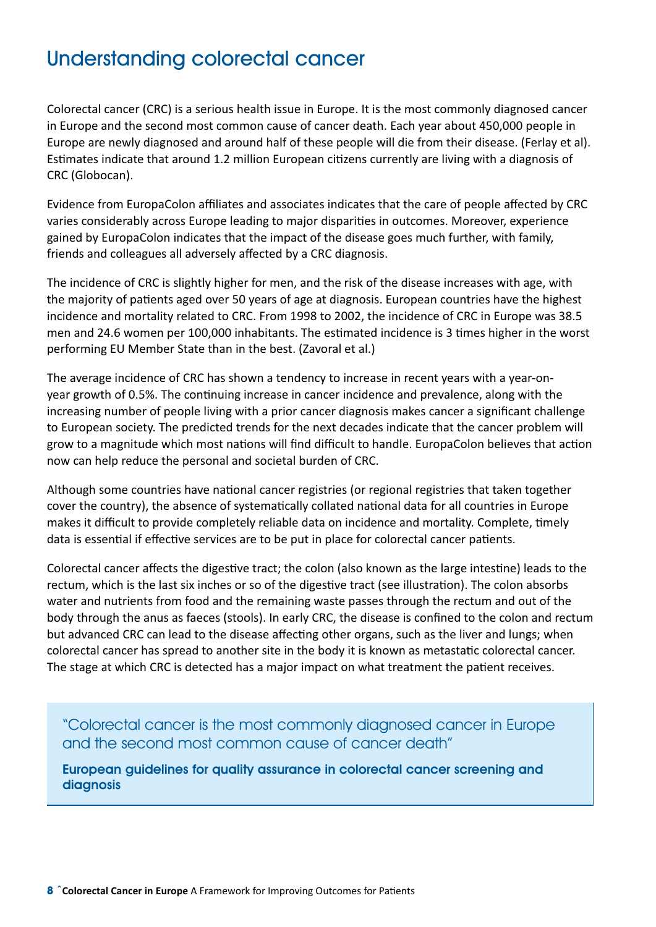# Understanding colorectal cancer

Colorectal cancer (CRC) is a serious health issue in Europe. It is the most commonly diagnosed cancer in Europe and the second most common cause of cancer death. Each year about 450,000 people in Europe are newly diagnosed and around half of these people will die from their disease. (Ferlay et al). Estimates indicate that around 1.2 million European citizens currently are living with a diagnosis of CRC (Globocan).

Evidence from EuropaColon affiliates and associates indicates that the care of people affected by CRC varies considerably across Europe leading to major disparities in outcomes. Moreover, experience gained by EuropaColon indicates that the impact of the disease goes much further, with family, friends and colleagues all adversely affected by a CRC diagnosis.

The incidence of CRC is slightly higher for men, and the risk of the disease increases with age, with the majority of patients aged over 50 years of age at diagnosis. European countries have the highest incidence and mortality related to CRC. From 1998 to 2002, the incidence of CRC in Europe was 38.5 men and 24.6 women per 100,000 inhabitants. The estimated incidence is 3 times higher in the worst performing EU Member State than in the best. (Zavoral et al.)

The average incidence of CRC has shown a tendency to increase in recent years with a year-onyear growth of 0.5%. The continuing increase in cancer incidence and prevalence, along with the increasing number of people living with a prior cancer diagnosis makes cancer a significant challenge to European society. The predicted trends for the next decades indicate that the cancer problem will grow to a magnitude which most nations will find difficult to handle. EuropaColon believes that action now can help reduce the personal and societal burden of CRC.

Although some countries have national cancer registries (or regional registries that taken together cover the country), the absence of systematically collated national data for all countries in Europe makes it difficult to provide completely reliable data on incidence and mortality. Complete, timely data is essential if effective services are to be put in place for colorectal cancer patients.

Colorectal cancer affects the digestive tract; the colon (also known as the large intestine) leads to the rectum, which is the last six inches or so of the digestive tract (see illustration). The colon absorbs water and nutrients from food and the remaining waste passes through the rectum and out of the body through the anus as faeces (stools). In early CRC, the disease is confined to the colon and rectum but advanced CRC can lead to the disease affecting other organs, such as the liver and lungs; when colorectal cancer has spread to another site in the body it is known as metastatic colorectal cancer. The stage at which CRC is detected has a major impact on what treatment the patient receives.

"Colorectal cancer is the most commonly diagnosed cancer in Europe and the second most common cause of cancer death"

European guidelines for quality assurance in colorectal cancer screening and diagnosis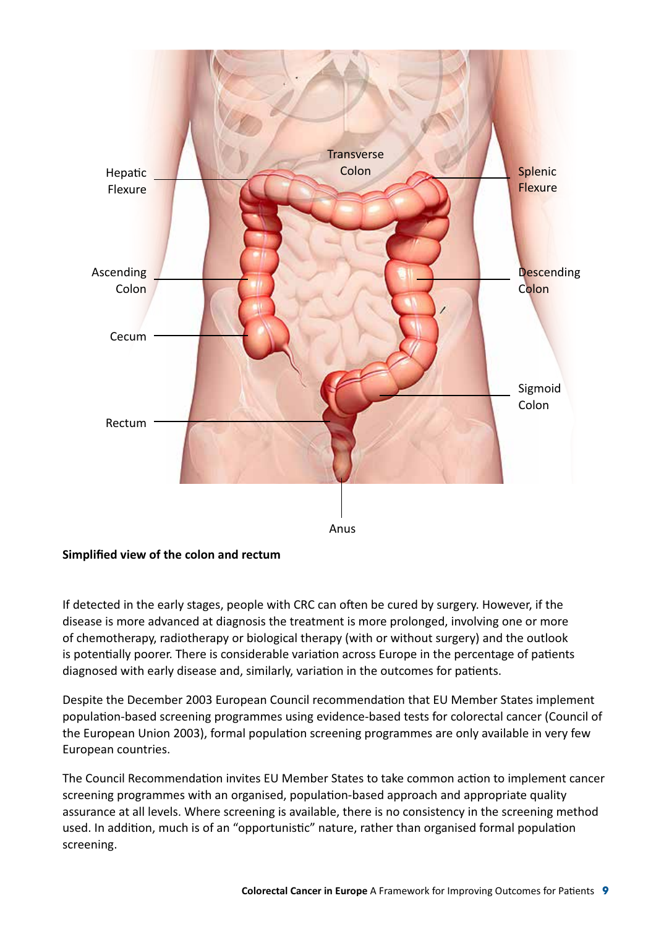

#### **Simplified view of the colon and rectum**

If detected in the early stages, people with CRC can often be cured by surgery. However, if the disease is more advanced at diagnosis the treatment is more prolonged, involving one or more of chemotherapy, radiotherapy or biological therapy (with or without surgery) and the outlook is potentially poorer. There is considerable variation across Europe in the percentage of patients diagnosed with early disease and, similarly, variation in the outcomes for patients.

Despite the December 2003 European Council recommendation that EU Member States implement population-based screening programmes using evidence-based tests for colorectal cancer (Council of the European Union 2003), formal population screening programmes are only available in very few European countries.

The Council Recommendation invites EU Member States to take common action to implement cancer screening programmes with an organised, population-based approach and appropriate quality assurance at all levels. Where screening is available, there is no consistency in the screening method used. In addition, much is of an "opportunistic" nature, rather than organised formal population screening.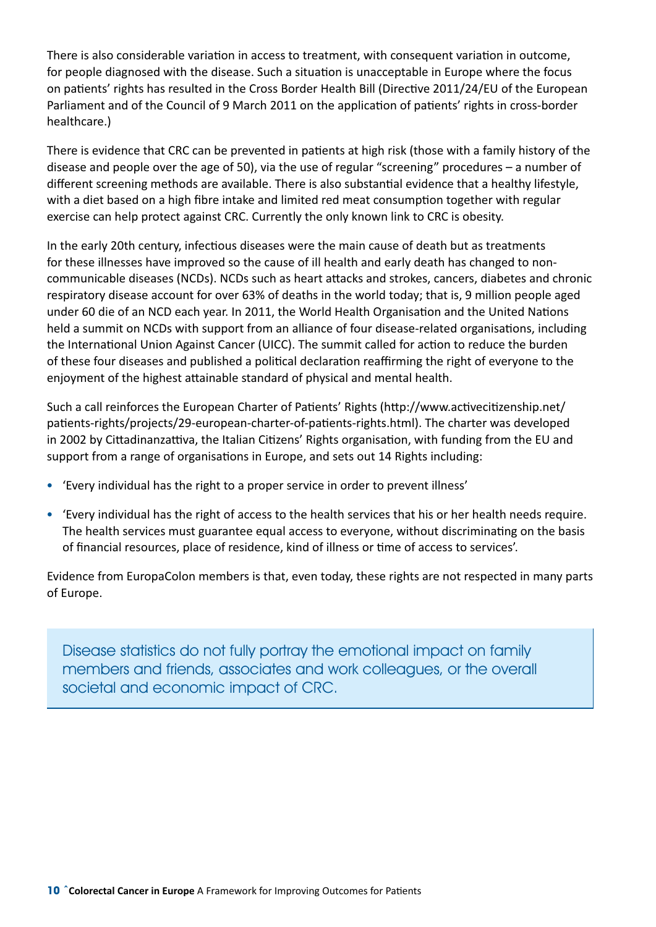There is also considerable variation in access to treatment, with consequent variation in outcome, for people diagnosed with the disease. Such a situation is unacceptable in Europe where the focus on patients' rights has resulted in the Cross Border Health Bill (Directive 2011/24/EU of the European Parliament and of the Council of 9 March 2011 on the application of patients' rights in cross-border healthcare.)

There is evidence that CRC can be prevented in patients at high risk (those with a family history of the disease and people over the age of 50), via the use of regular "screening" procedures – a number of different screening methods are available. There is also substantial evidence that a healthy lifestyle, with a diet based on a high fibre intake and limited red meat consumption together with regular exercise can help protect against CRC. Currently the only known link to CRC is obesity.

In the early 20th century, infectious diseases were the main cause of death but as treatments for these illnesses have improved so the cause of ill health and early death has changed to noncommunicable diseases (NCDs). NCDs such as heart attacks and strokes, cancers, diabetes and chronic respiratory disease account for over 63% of deaths in the world today; that is, 9 million people aged under 60 die of an NCD each year. In 2011, the World Health Organisation and the United Nations held a summit on NCDs with support from an alliance of four disease-related organisations, including the International Union Against Cancer (UICC). The summit called for action to reduce the burden of these four diseases and published a political declaration reaffirming the right of everyone to the enjoyment of the highest attainable standard of physical and mental health.

Such a call reinforces the European Charter of Patients' Rights (http://www.activecitizenship.net/ patients-rights/projects/29-european-charter-of-patients-rights.html). The charter was developed in 2002 by Cittadinanzattiva, the Italian Citizens' Rights organisation, with funding from the EU and support from a range of organisations in Europe, and sets out 14 Rights including:

- 'Every individual has the right to a proper service in order to prevent illness'
- • 'Every individual has the right of access to the health services that his or her health needs require. The health services must guarantee equal access to everyone, without discriminating on the basis of financial resources, place of residence, kind of illness or time of access to services'.

Evidence from EuropaColon members is that, even today, these rights are not respected in many parts of Europe.

Disease statistics do not fully portray the emotional impact on family members and friends, associates and work colleagues, or the overall societal and economic impact of CRC.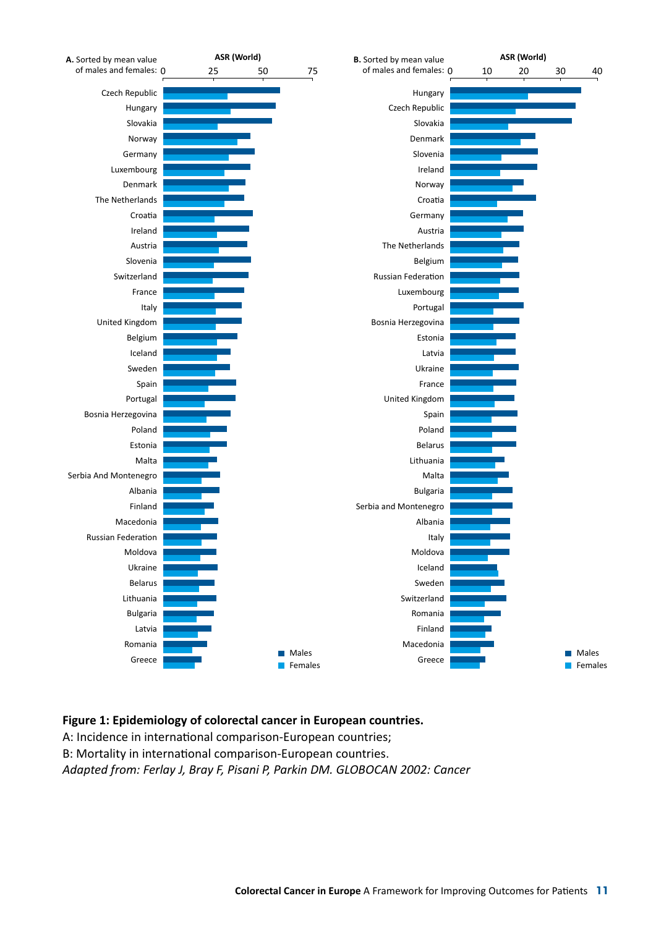

#### **Figure 1: Epidemiology of colorectal cancer in European countries.**

A: Incidence in international comparison-European countries;

B: Mortality in international comparison-European countries.

*Adapted from: Ferlay J, Bray F, Pisani P, Parkin DM. GLOBOCAN 2002: Cancer*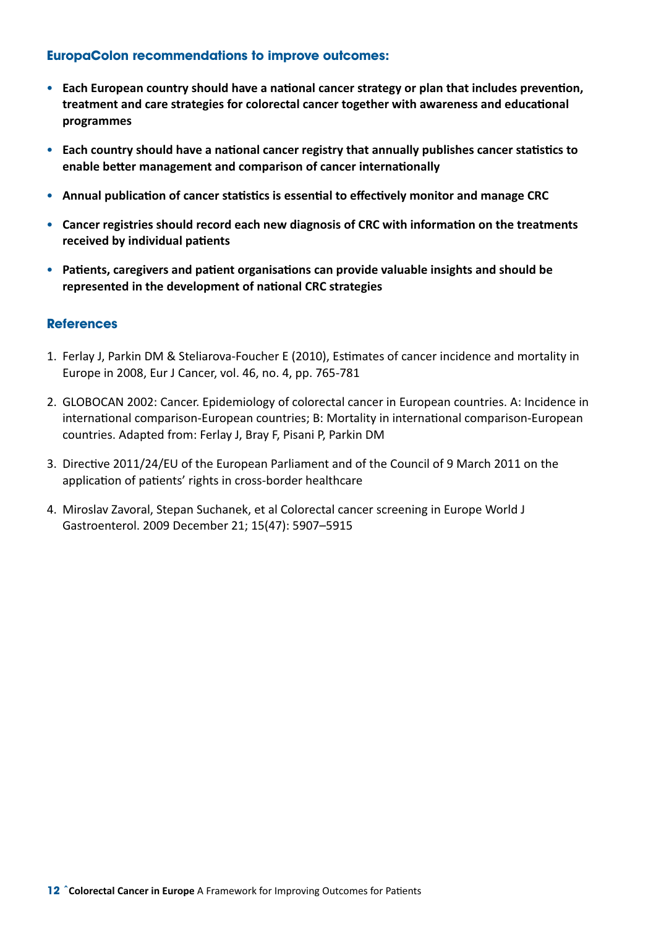#### **EuropaColon recommendations to improve outcomes:**

- • **Each European country should have a national cancer strategy or plan that includes prevention, treatment and care strategies for colorectal cancer together with awareness and educational programmes**
- • **Each country should have a national cancer registry that annually publishes cancer statistics to enable better management and comparison of cancer internationally**
- • **Annual publication of cancer statistics is essential to effectively monitor and manage CRC**
- • **Cancer registries should record each new diagnosis of CRC with information on the treatments received by individual patients**
- • **Patients, caregivers and patient organisations can provide valuable insights and should be represented in the development of national CRC strategies**

#### **References**

- 1. Ferlay J, Parkin DM & Steliarova-Foucher E (2010), Estimates of cancer incidence and mortality in Europe in 2008, Eur J Cancer, vol. 46, no. 4, pp. 765-781
- 2. GLOBOCAN 2002: Cancer. Epidemiology of colorectal cancer in European countries. A: Incidence in international comparison-European countries; B: Mortality in international comparison-European countries. Adapted from: Ferlay J, Bray F, Pisani P, Parkin DM
- 3. Directive 2011/24/EU of the European Parliament and of the Council of 9 March 2011 on the application of patients' rights in cross-border healthcare
- 4. Miroslav Zavoral, Stepan Suchanek, et al Colorectal cancer screening in Europe World J Gastroenterol. 2009 December 21; 15(47): 5907–5915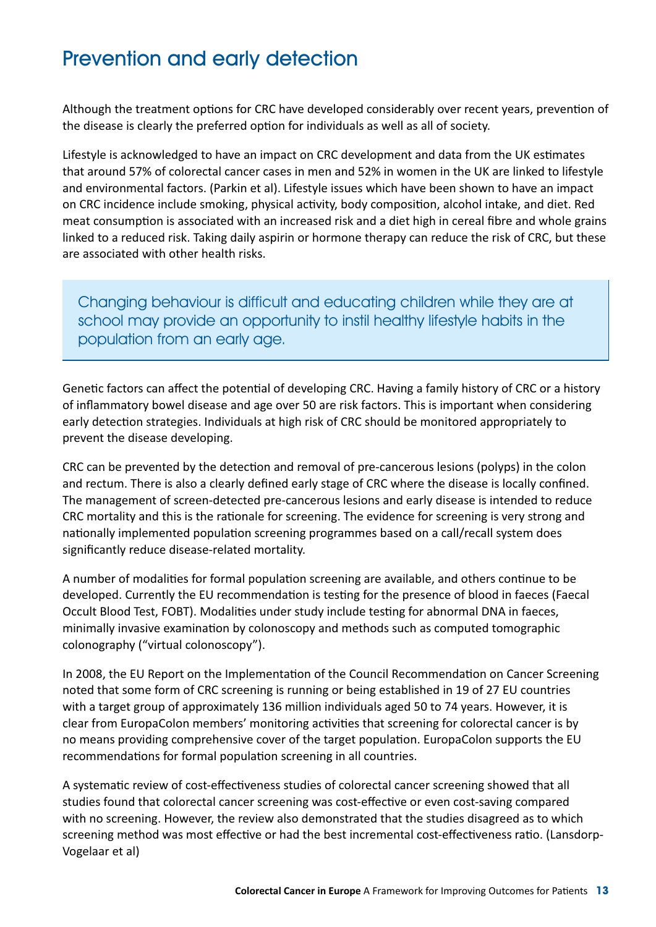# Prevention and early detection

Although the treatment options for CRC have developed considerably over recent years, prevention of the disease is clearly the preferred option for individuals as well as all of society.

Lifestyle is acknowledged to have an impact on CRC development and data from the UK estimates that around 57% of colorectal cancer cases in men and 52% in women in the UK are linked to lifestyle and environmental factors. (Parkin et al). Lifestyle issues which have been shown to have an impact on CRC incidence include smoking, physical activity, body composition, alcohol intake, and diet. Red meat consumption is associated with an increased risk and a diet high in cereal fibre and whole grains linked to a reduced risk. Taking daily aspirin or hormone therapy can reduce the risk of CRC, but these are associated with other health risks.

Changing behaviour is difficult and educating children while they are at school may provide an opportunity to instil healthy lifestyle habits in the population from an early age.

Genetic factors can affect the potential of developing CRC. Having a family history of CRC or a history of inflammatory bowel disease and age over 50 are risk factors. This is important when considering early detection strategies. Individuals at high risk of CRC should be monitored appropriately to prevent the disease developing.

CRC can be prevented by the detection and removal of pre-cancerous lesions (polyps) in the colon and rectum. There is also a clearly defined early stage of CRC where the disease is locally confined. The management of screen-detected pre-cancerous lesions and early disease is intended to reduce CRC mortality and this is the rationale for screening. The evidence for screening is very strong and nationally implemented population screening programmes based on a call/recall system does significantly reduce disease-related mortality.

A number of modalities for formal population screening are available, and others continue to be developed. Currently the EU recommendation is testing for the presence of blood in faeces (Faecal Occult Blood Test, FOBT). Modalities under study include testing for abnormal DNA in faeces, minimally invasive examination by colonoscopy and methods such as computed tomographic colonography ("virtual colonoscopy").

In 2008, the EU Report on the Implementation of the Council Recommendation on Cancer Screening noted that some form of CRC screening is running or being established in 19 of 27 EU countries with a target group of approximately 136 million individuals aged 50 to 74 years. However, it is clear from EuropaColon members' monitoring activities that screening for colorectal cancer is by no means providing comprehensive cover of the target population. EuropaColon supports the EU recommendations for formal population screening in all countries.

A systematic review of cost-effectiveness studies of colorectal cancer screening showed that all studies found that colorectal cancer screening was cost-effective or even cost-saving compared with no screening. However, the review also demonstrated that the studies disagreed as to which screening method was most effective or had the best incremental cost-effectiveness ratio. (Lansdorp-Vogelaar et al)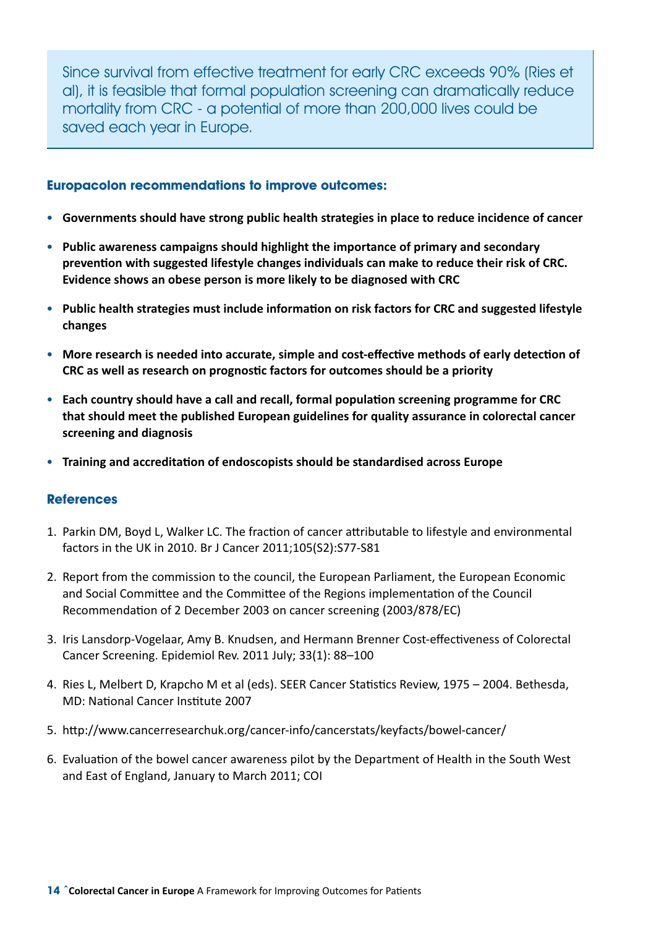Since survival from effective treatment for early CRC exceeds 90% (Ries et al), it is feasible that formal population screening can dramatically reduce mortality from CRC - a potential of more than 200,000 lives could be saved each year in Europe.

#### **Europacolon recommendations to improve outcomes:**

- • **Governments should have strong public health strategies in place to reduce incidence of cancer**
- • **Public awareness campaigns should highlight the importance of primary and secondary prevention with suggested lifestyle changes individuals can make to reduce their risk of CRC. Evidence shows an obese person is more likely to be diagnosed with CRC**
- • **Public health strategies must include information on risk factors for CRC and suggested lifestyle changes**
- More research is needed into accurate, simple and cost-effective methods of early detection of **CRC as well as research on prognostic factors for outcomes should be a priority**
- • **Each country should have a call and recall, formal population screening programme for CRC that should meet the published European guidelines for quality assurance in colorectal cancer screening and diagnosis**
- • **Training and accreditation of endoscopists should be standardised across Europe**

#### **References**

- 1. Parkin DM, Boyd L, Walker LC. The fraction of cancer attributable to lifestyle and environmental factors in the UK in 2010. Br J Cancer 2011;105(S2):S77-S81
- 2. Report from the commission to the council, the European Parliament, the European Economic and Social Committee and the Committee of the Regions implementation of the Council Recommendation of 2 December 2003 on cancer screening (2003/878/EC)
- 3. Iris Lansdorp-Vogelaar, Amy B. Knudsen, and Hermann Brenner Cost-effectiveness of Colorectal Cancer Screening. Epidemiol Rev. 2011 July; 33(1): 88–100
- 4. Ries L, Melbert D, Krapcho M et al (eds). SEER Cancer Statistics Review, 1975 2004. Bethesda, MD: National Cancer Institute 2007
- 5. http://www.cancerresearchuk.org/cancer-info/cancerstats/keyfacts/bowel-cancer/
- 6. Evaluation of the bowel cancer awareness pilot by the Department of Health in the South West and East of England, January to March 2011; COI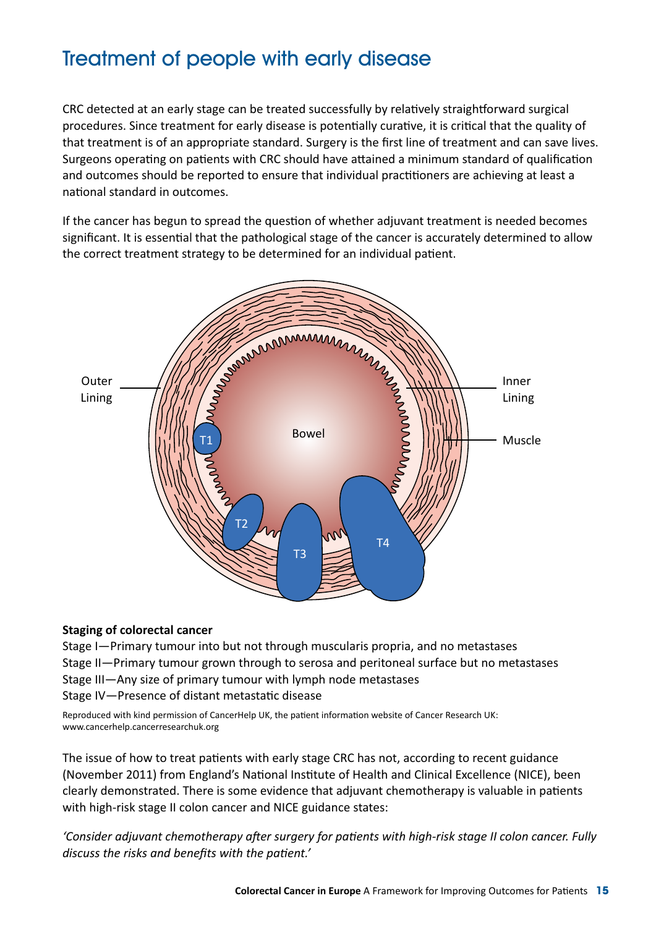# Treatment of people with early disease

CRC detected at an early stage can be treated successfully by relatively straightforward surgical procedures. Since treatment for early disease is potentially curative, it is critical that the quality of that treatment is of an appropriate standard. Surgery is the first line of treatment and can save lives. Surgeons operating on patients with CRC should have attained a minimum standard of qualification and outcomes should be reported to ensure that individual practitioners are achieving at least a national standard in outcomes.

If the cancer has begun to spread the question of whether adjuvant treatment is needed becomes significant. It is essential that the pathological stage of the cancer is accurately determined to allow the correct treatment strategy to be determined for an individual patient.



#### **Staging of colorectal cancer**

Stage I—Primary tumour into but not through muscularis propria, and no metastases

Stage II—Primary tumour grown through to serosa and peritoneal surface but no metastases

Stage III—Any size of primary tumour with lymph node metastases

Stage IV—Presence of distant metastatic disease

Reproduced with kind permission of CancerHelp UK, the patient information website of Cancer Research UK: www.cancerhelp.cancerresearchuk.org

The issue of how to treat patients with early stage CRC has not, according to recent guidance (November 2011) from England's National Institute of Health and Clinical Excellence (NICE), been clearly demonstrated. There is some evidence that adjuvant chemotherapy is valuable in patients with high-risk stage II colon cancer and NICE guidance states:

*'Consider adjuvant chemotherapy after surgery for patients with high-risk stage II colon cancer. Fully discuss the risks and benefits with the patient.'*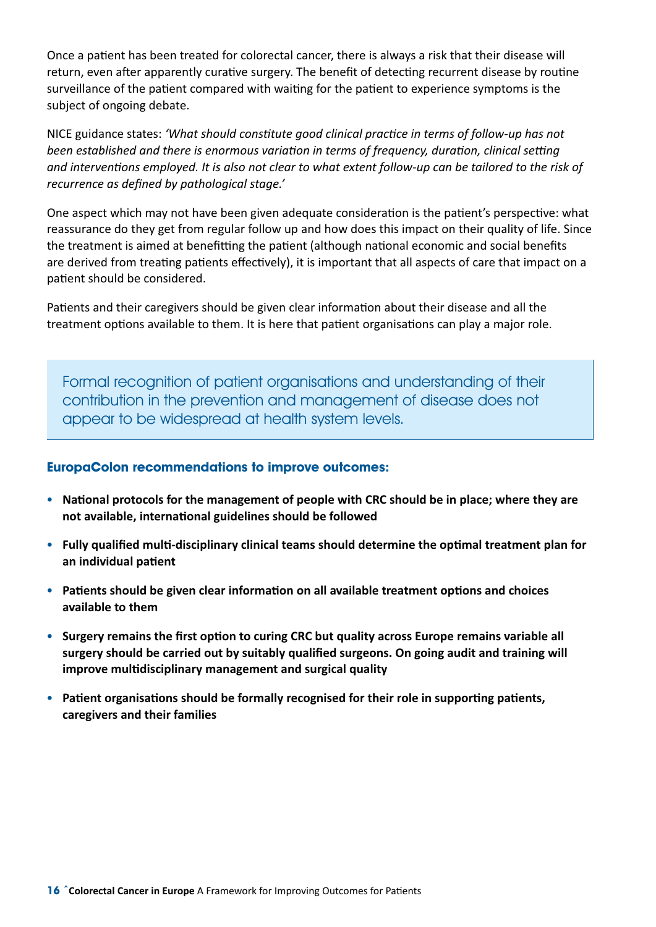Once a patient has been treated for colorectal cancer, there is always a risk that their disease will return, even after apparently curative surgery. The benefit of detecting recurrent disease by routine surveillance of the patient compared with waiting for the patient to experience symptoms is the subject of ongoing debate.

NICE guidance states: *'What should constitute good clinical practice in terms of follow-up has not been established and there is enormous variation in terms of frequency, duration, clinical setting and interventions employed. It is also not clear to what extent follow-up can be tailored to the risk of recurrence as defined by pathological stage.'*

One aspect which may not have been given adequate consideration is the patient's perspective: what reassurance do they get from regular follow up and how does this impact on their quality of life. Since the treatment is aimed at benefitting the patient (although national economic and social benefits are derived from treating patients effectively), it is important that all aspects of care that impact on a patient should be considered.

Patients and their caregivers should be given clear information about their disease and all the treatment options available to them. It is here that patient organisations can play a major role.

Formal recognition of patient organisations and understanding of their contribution in the prevention and management of disease does not appear to be widespread at health system levels.

- • **National protocols for the management of people with CRC should be in place; where they are not available, international guidelines should be followed**
- • **Fully qualified multi-disciplinary clinical teams should determine the optimal treatment plan for an individual patient**
- • **Patients should be given clear information on all available treatment options and choices available to them**
- • **Surgery remains the first option to curing CRC but quality across Europe remains variable all surgery should be carried out by suitably qualified surgeons. On going audit and training will improve multidisciplinary management and surgical quality**
- • **Patient organisations should be formally recognised for their role in supporting patients, caregivers and their families**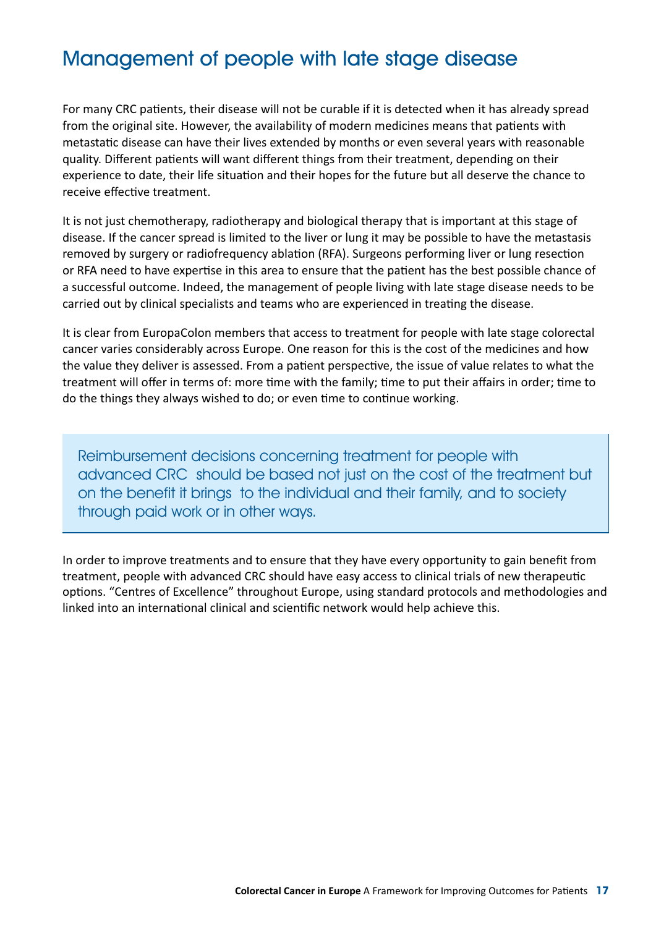### Management of people with late stage disease

For many CRC patients, their disease will not be curable if it is detected when it has already spread from the original site. However, the availability of modern medicines means that patients with metastatic disease can have their lives extended by months or even several years with reasonable quality. Different patients will want different things from their treatment, depending on their experience to date, their life situation and their hopes for the future but all deserve the chance to receive effective treatment.

It is not just chemotherapy, radiotherapy and biological therapy that is important at this stage of disease. If the cancer spread is limited to the liver or lung it may be possible to have the metastasis removed by surgery or radiofrequency ablation (RFA). Surgeons performing liver or lung resection or RFA need to have expertise in this area to ensure that the patient has the best possible chance of a successful outcome. Indeed, the management of people living with late stage disease needs to be carried out by clinical specialists and teams who are experienced in treating the disease.

It is clear from EuropaColon members that access to treatment for people with late stage colorectal cancer varies considerably across Europe. One reason for this is the cost of the medicines and how the value they deliver is assessed. From a patient perspective, the issue of value relates to what the treatment will offer in terms of: more time with the family; time to put their affairs in order; time to do the things they always wished to do; or even time to continue working.

Reimbursement decisions concerning treatment for people with advanced CRC should be based not just on the cost of the treatment but on the benefit it brings to the individual and their family, and to society through paid work or in other ways.

In order to improve treatments and to ensure that they have every opportunity to gain benefit from treatment, people with advanced CRC should have easy access to clinical trials of new therapeutic options. "Centres of Excellence" throughout Europe, using standard protocols and methodologies and linked into an international clinical and scientific network would help achieve this.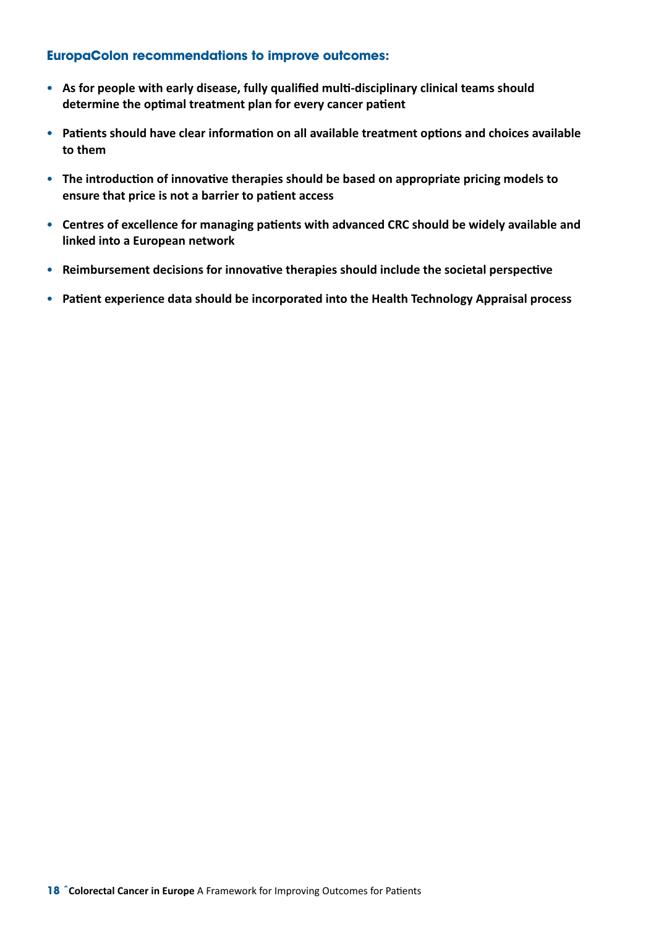- • **As for people with early disease, fully qualified multi-disciplinary clinical teams should determine the optimal treatment plan for every cancer patient**
- • **Patients should have clear information on all available treatment options and choices available to them**
- The introduction of innovative therapies should be based on appropriate pricing models to **ensure that price is not a barrier to patient access**
- • **Centres of excellence for managing patients with advanced CRC should be widely available and linked into a European network**
- • **Reimbursement decisions for innovative therapies should include the societal perspective**
- • **Patient experience data should be incorporated into the Health Technology Appraisal process**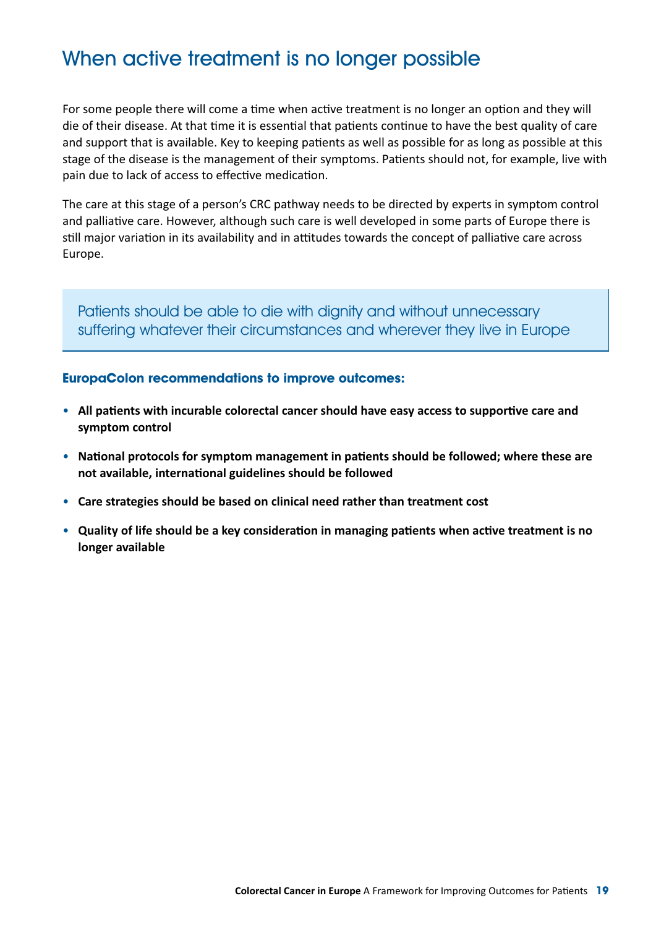# When active treatment is no longer possible

For some people there will come a time when active treatment is no longer an option and they will die of their disease. At that time it is essential that patients continue to have the best quality of care and support that is available. Key to keeping patients as well as possible for as long as possible at this stage of the disease is the management of their symptoms. Patients should not, for example, live with pain due to lack of access to effective medication.

The care at this stage of a person's CRC pathway needs to be directed by experts in symptom control and palliative care. However, although such care is well developed in some parts of Europe there is still major variation in its availability and in attitudes towards the concept of palliative care across Europe.

Patients should be able to die with dignity and without unnecessary suffering whatever their circumstances and wherever they live in Europe

- • **All patients with incurable colorectal cancer should have easy access to supportive care and symptom control**
- • **National protocols for symptom management in patients should be followed; where these are not available, international guidelines should be followed**
- • **Care strategies should be based on clinical need rather than treatment cost**
- • **Quality of life should be a key consideration in managing patients when active treatment is no longer available**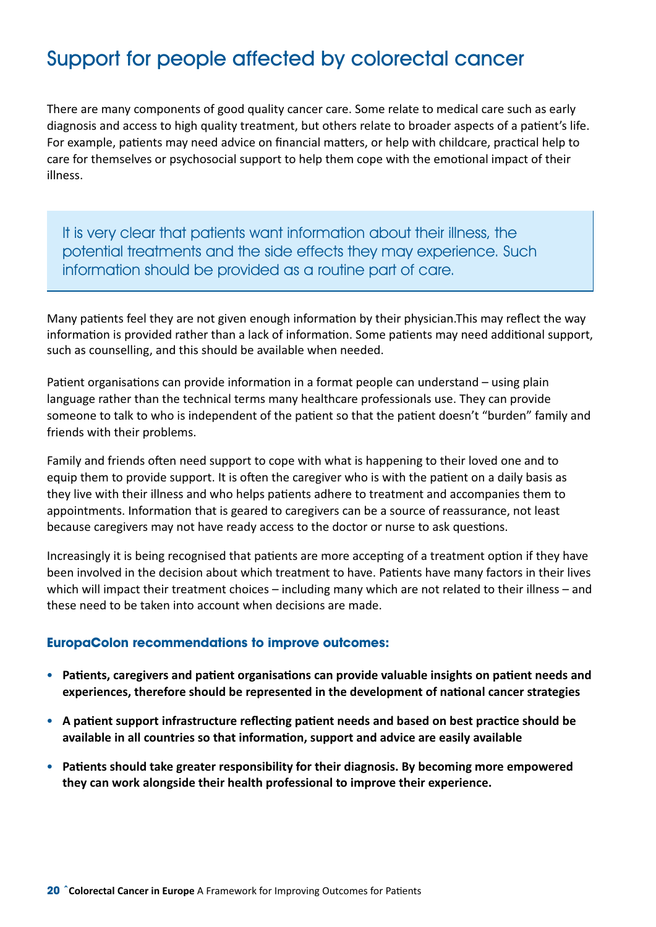# Support for people affected by colorectal cancer

There are many components of good quality cancer care. Some relate to medical care such as early diagnosis and access to high quality treatment, but others relate to broader aspects of a patient's life. For example, patients may need advice on financial matters, or help with childcare, practical help to care for themselves or psychosocial support to help them cope with the emotional impact of their illness.

It is very clear that patients want information about their illness, the potential treatments and the side effects they may experience. Such information should be provided as a routine part of care.

Many patients feel they are not given enough information by their physician.This may reflect the way information is provided rather than a lack of information. Some patients may need additional support, such as counselling, and this should be available when needed.

Patient organisations can provide information in a format people can understand – using plain language rather than the technical terms many healthcare professionals use. They can provide someone to talk to who is independent of the patient so that the patient doesn't "burden" family and friends with their problems.

Family and friends often need support to cope with what is happening to their loved one and to equip them to provide support. It is often the caregiver who is with the patient on a daily basis as they live with their illness and who helps patients adhere to treatment and accompanies them to appointments. Information that is geared to caregivers can be a source of reassurance, not least because caregivers may not have ready access to the doctor or nurse to ask questions.

Increasingly it is being recognised that patients are more accepting of a treatment option if they have been involved in the decision about which treatment to have. Patients have many factors in their lives which will impact their treatment choices – including many which are not related to their illness – and these need to be taken into account when decisions are made.

- • **Patients, caregivers and patient organisations can provide valuable insights on patient needs and experiences, therefore should be represented in the development of national cancer strategies**
- • **A patient support infrastructure reflecting patient needs and based on best practice should be available in all countries so that information, support and advice are easily available**
- Patients should take greater responsibility for their diagnosis. By becoming more empowered **they can work alongside their health professional to improve their experience.**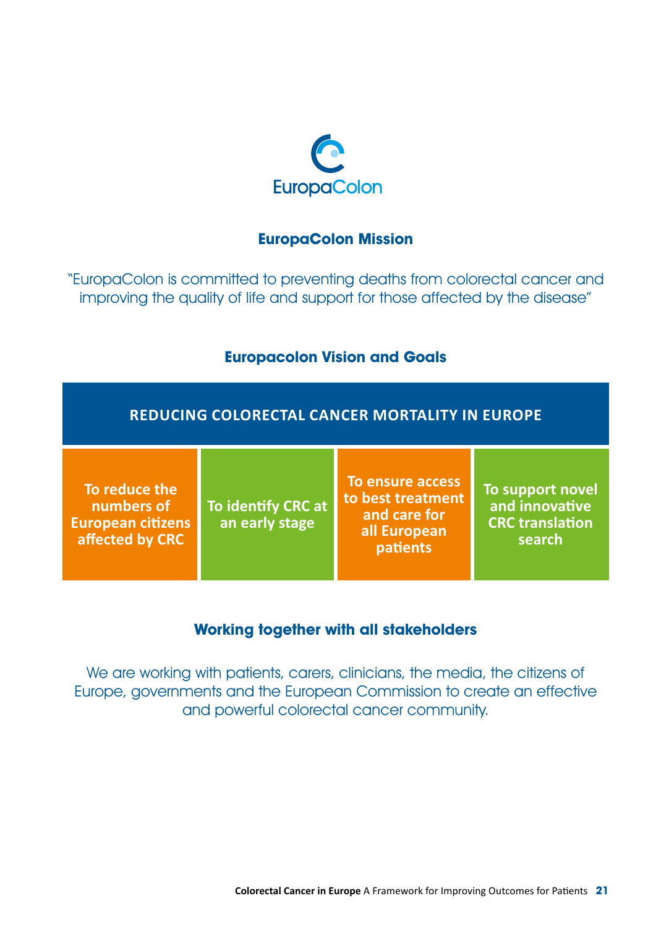

### **EuropaColon Mission**

"EuropaColon is committed to preventing deaths from colorectal cancer and improving the quality of life and support for those affected by the disease"

### **Europacolon Vision and Goals**

### **Reducing Colorectal Cancer Mortality in Europe**

**To reduce the numbers of European citizens affected by CRC**

**To identify CRC at an early stage**

**To ensure access to best treatment and care for all European patients**

**To support novel and innovative CRC translation search**

### **Working together with all stakeholders**

We are working with patients, carers, clinicians, the media, the citizens of Europe, governments and the European Commission to create an effective and powerful colorectal cancer community.